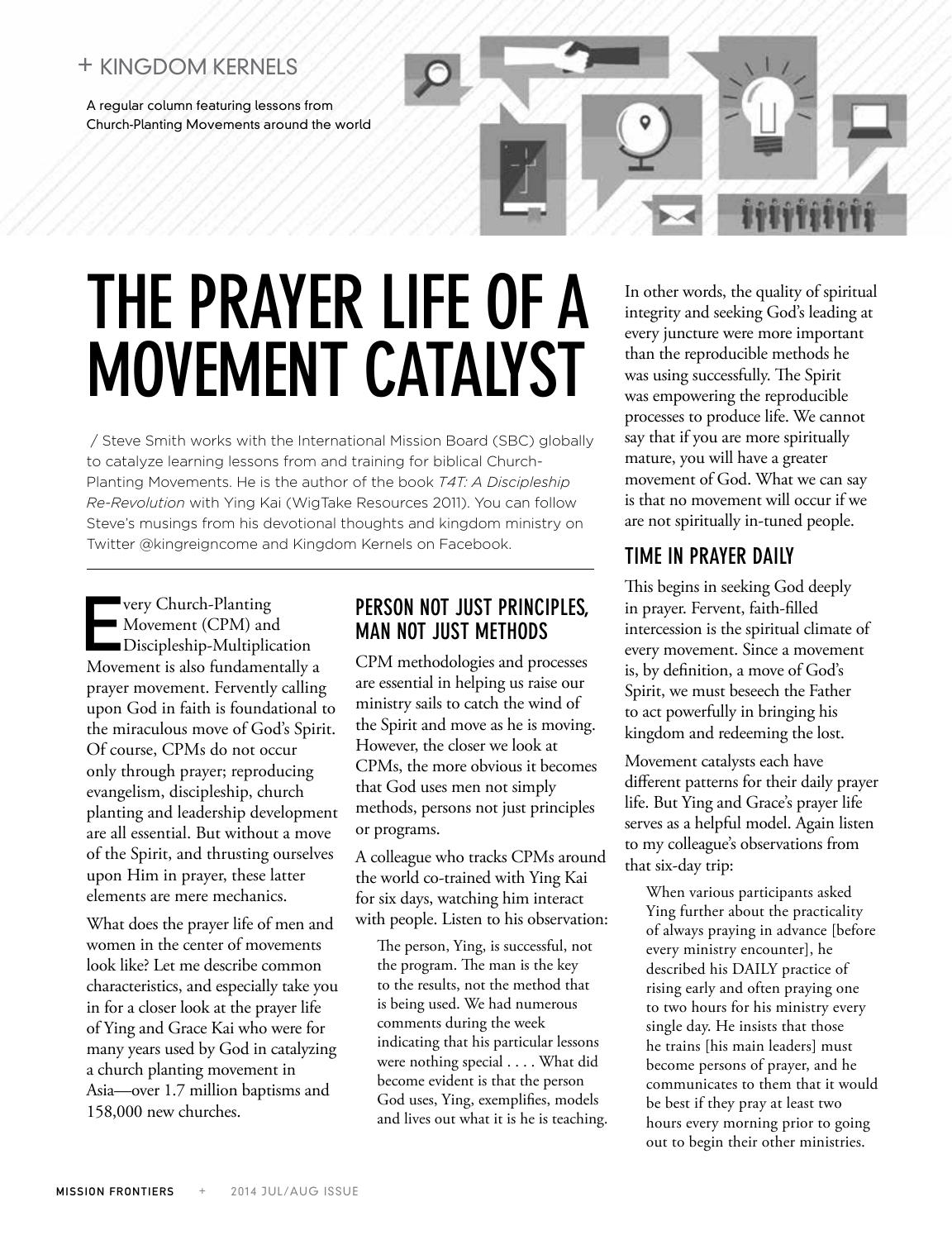# + Kingdom Kernels

A regular column featuring lessons from Church-Planting Movements around the world

# The Prayer Life of a Movement Catalyst

 / Steve Smith works with the International Mission Board (SBC) globally to catalyze learning lessons from and training for biblical Church-Planting Movements. He is the author of the book *T4T: A Discipleship Re-Revolution* with Ying Kai (WigTake Resources 2011). You can follow Steve's musings from his devotional thoughts and kingdom ministry on Twitter @kingreigncome and Kingdom Kernels on Facebook.

very Church-Planting<br>Movement (CPM) and<br>Discipleship-Multiplic<br>Movement is also fundament Movement (CPM) and Discipleship-Multiplication Movement is also fundamentally a prayer movement. Fervently calling upon God in faith is foundational to the miraculous move of God's Spirit. Of course, CPMs do not occur only through prayer; reproducing evangelism, discipleship, church planting and leadership development are all essential. But without a move of the Spirit, and thrusting ourselves upon Him in prayer, these latter elements are mere mechanics.

What does the prayer life of men and women in the center of movements look like? Let me describe common characteristics, and especially take you in for a closer look at the prayer life of Ying and Grace Kai who were for many years used by God in catalyzing a church planting movement in Asia—over 1.7 million baptisms and 158,000 new churches.

## Person not just principles, man not just methods

CPM methodologies and processes are essential in helping us raise our ministry sails to catch the wind of the Spirit and move as he is moving. However, the closer we look at CPMs, the more obvious it becomes that God uses men not simply methods, persons not just principles or programs.

A colleague who tracks CPMs around the world co-trained with Ying Kai for six days, watching him interact with people. Listen to his observation:

The person, Ying, is successful, not the program. The man is the key to the results, not the method that is being used. We had numerous comments during the week indicating that his particular lessons were nothing special . . . . What did become evident is that the person God uses, Ying, exemplifies, models and lives out what it is he is teaching. In other words, the quality of spiritual integrity and seeking God's leading at every juncture were more important than the reproducible methods he was using successfully. The Spirit was empowering the reproducible processes to produce life. We cannot say that if you are more spiritually mature, you will have a greater movement of God. What we can say is that no movement will occur if we are not spiritually in-tuned people.

# Time in prayer daily

This begins in seeking God deeply in prayer. Fervent, faith-filled intercession is the spiritual climate of every movement. Since a movement is, by definition, a move of God's Spirit, we must beseech the Father to act powerfully in bringing his kingdom and redeeming the lost.

Movement catalysts each have different patterns for their daily prayer life. But Ying and Grace's prayer life serves as a helpful model. Again listen to my colleague's observations from that six-day trip:

When various participants asked Ying further about the practicality of always praying in advance [before every ministry encounter], he described his DAILY practice of rising early and often praying one to two hours for his ministry every single day. He insists that those he trains [his main leaders] must become persons of prayer, and he communicates to them that it would be best if they pray at least two hours every morning prior to going out to begin their other ministries.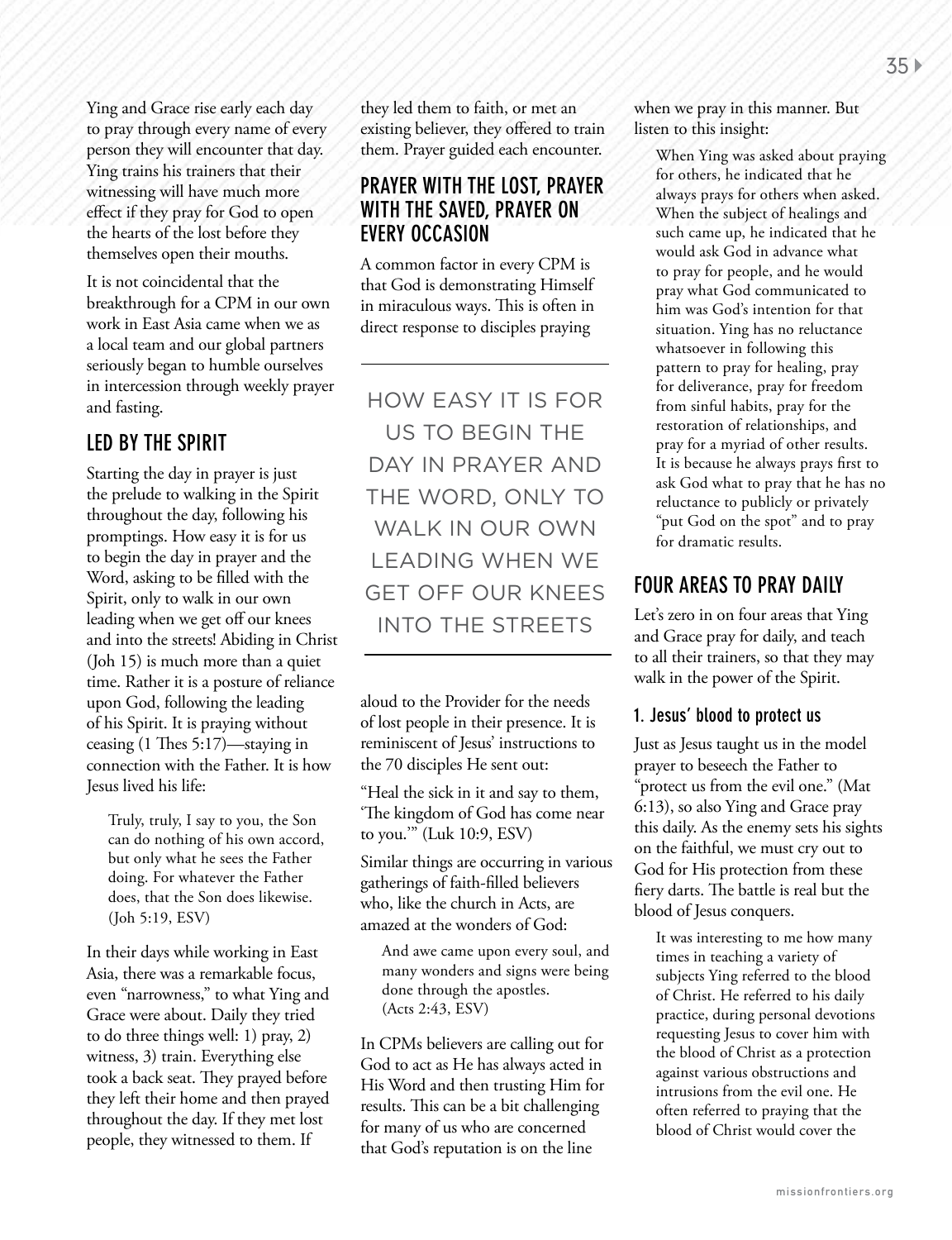Ying and Grace rise early each day to pray through every name of every person they will encounter that day. Ying trains his trainers that their witnessing will have much more effect if they pray for God to open the hearts of the lost before they themselves open their mouths.

It is not coincidental that the breakthrough for a CPM in our own work in East Asia came when we as a local team and our global partners seriously began to humble ourselves in intercession through weekly prayer and fasting.

## Led by the Spirit

Starting the day in prayer is just the prelude to walking in the Spirit throughout the day, following his promptings. How easy it is for us to begin the day in prayer and the Word, asking to be filled with the Spirit, only to walk in our own leading when we get off our knees and into the streets! Abiding in Christ (Joh 15) is much more than a quiet time. Rather it is a posture of reliance upon God, following the leading of his Spirit. It is praying without ceasing (1 Thes 5:17)—staying in connection with the Father. It is how Jesus lived his life:

Truly, truly, I say to you, the Son can do nothing of his own accord, but only what he sees the Father doing. For whatever the Father does, that the Son does likewise. (Joh 5:19, ESV)

In their days while working in East Asia, there was a remarkable focus, even "narrowness," to what Ying and Grace were about. Daily they tried to do three things well: 1) pray, 2) witness, 3) train. Everything else took a back seat. They prayed before they left their home and then prayed throughout the day. If they met lost people, they witnessed to them. If

they led them to faith, or met an existing believer, they offered to train them. Prayer guided each encounter.

### Prayer with the lost, prayer with the saved, prayer on every occasion

A common factor in every CPM is that God is demonstrating Himself in miraculous ways. This is often in direct response to disciples praying

how easy it is for us to begin the day in prayer and the word, only to walk in our own leading when we get off our knees into the streets

aloud to the Provider for the needs of lost people in their presence. It is reminiscent of Jesus' instructions to the 70 disciples He sent out:

"Heal the sick in it and say to them, 'The kingdom of God has come near to you.'" (Luk 10:9, ESV)

Similar things are occurring in various gatherings of faith-filled believers who, like the church in Acts, are amazed at the wonders of God:

And awe came upon every soul, and many wonders and signs were being done through the apostles. (Acts 2:43, ESV)

In CPMs believers are calling out for God to act as He has always acted in His Word and then trusting Him for results. This can be a bit challenging for many of us who are concerned that God's reputation is on the line

when we pray in this manner. But listen to this insight:

When Ying was asked about praying for others, he indicated that he always prays for others when asked. When the subject of healings and such came up, he indicated that he would ask God in advance what to pray for people, and he would pray what God communicated to him was God's intention for that situation. Ying has no reluctance whatsoever in following this pattern to pray for healing, pray for deliverance, pray for freedom from sinful habits, pray for the restoration of relationships, and pray for a myriad of other results. It is because he always prays first to ask God what to pray that he has no reluctance to publicly or privately "put God on the spot" and to pray for dramatic results.

## Four Areas to Pray Daily

Let's zero in on four areas that Ying and Grace pray for daily, and teach to all their trainers, so that they may walk in the power of the Spirit.

#### 1. Jesus' blood to protect us

Just as Jesus taught us in the model prayer to beseech the Father to "protect us from the evil one." (Mat 6:13), so also Ying and Grace pray this daily. As the enemy sets his sights on the faithful, we must cry out to God for His protection from these fiery darts. The battle is real but the blood of Jesus conquers.

It was interesting to me how many times in teaching a variety of subjects Ying referred to the blood of Christ. He referred to his daily practice, during personal devotions requesting Jesus to cover him with the blood of Christ as a protection against various obstructions and intrusions from the evil one. He often referred to praying that the blood of Christ would cover the